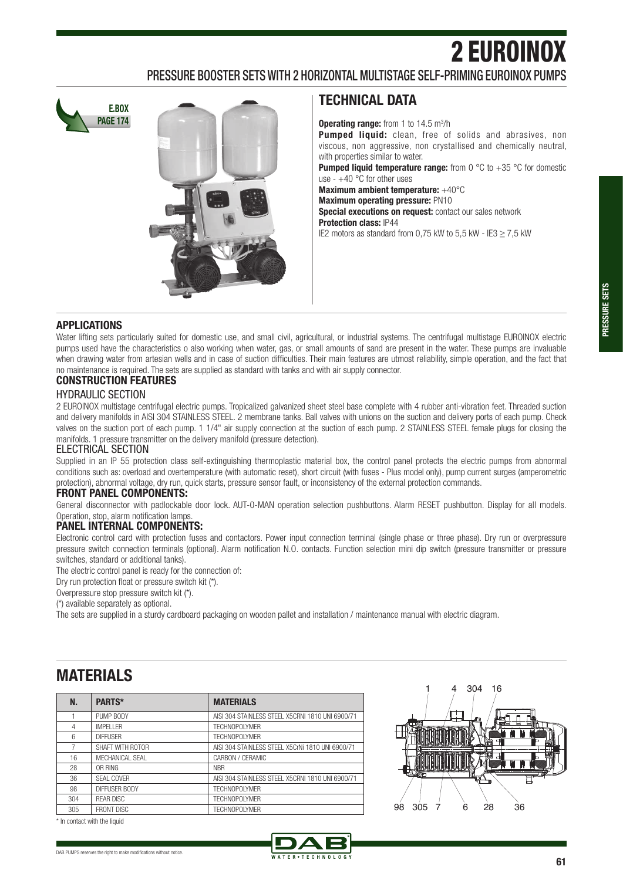# 2 EUROINOX

### PRESSURE BOOSTER SETS WITH 2 HORIZONTAL MULTISTAGE SELF-PRIMING EUROINOX PUMPS





# **TECHNICAL DATA**

**Operating range:** from 1 to 14.5 m<sup>3</sup>/h

**Pumped liquid:** clean, free of solids and abrasives, non viscous, non aggressive, non crystallised and chemically neutral, with properties similar to water.

**Pumped liquid temperature range:** from 0 °C to +35 °C for domestic use -  $+40$  °C for other uses

**Maximum ambient temperature:** +40°C

**Maximum operating pressure:** PN10

**Special executions on request:** contact our sales network **Protection class:** IP44

IE2 motors as standard from 0.75 kW to 5.5 kW - IE3  $>$  7.5 kW

#### **APPLICATIONS**

Water lifting sets particularly suited for domestic use, and small civil, agricultural, or industrial systems. The centrifugal multistage EUROINOX electric pumps used have the characteristics o also working when water, gas, or small amounts of sand are present in the water. These pumps are invaluable when drawing water from artesian wells and in case of suction difficulties. Their main features are utmost reliability, simple operation, and the fact that no maintenance is required. The sets are supplied as standard with tanks and with air supply connector.

#### **CONSTRUCTION FEATURES**

#### HYDRAULIC SECTION

2 EUROINOX multistage centrifugal electric pumps. Tropicalized galvanized sheet steel base complete with 4 rubber anti-vibration feet. Threaded suction and delivery manifolds in AISI 304 STAINLESS STEEL. 2 membrane tanks. Ball valves with unions on the suction and delivery ports of each pump. Check valves on the suction port of each pump. 1 1/4" air supply connection at the suction of each pump. 2 STAINLESS STEEL female plugs for closing the manifolds. 1 pressure transmitter on the delivery manifold (pressure detection).

#### ELECTRICAL SECTION

Supplied in an IP 55 protection class self-extinguishing thermoplastic material box, the control panel protects the electric pumps from abnormal conditions such as: overload and overtemperature (with automatic reset), short circuit (with fuses - Plus model only), pump current surges (amperometric protection), abnormal voltage, dry run, quick starts, pressure sensor fault, or inconsistency of the external protection commands.

#### **FRONT PANEL COMPONENTS:**

General disconnector with padlockable door lock. AUT-0-MAN operation selection pushbuttons. Alarm RESET pushbutton. Display for all models. Operation, stop, alarm notification lamps.

#### **PANEL INTERNAL COMPONENTS:**

Electronic control card with protection fuses and contactors. Power input connection terminal (single phase or three phase). Dry run or overpressure pressure switch connection terminals (optional). Alarm notification N.O. contacts. Function selection mini dip switch (pressure transmitter or pressure switches, standard or additional tanks).

The electric control panel is ready for the connection of:

Dry run protection float or pressure switch kit (\*).

Overpressure stop pressure switch kit (\*).

(\*) available separately as optional.

The sets are supplied in a sturdy cardboard packaging on wooden pallet and installation / maintenance manual with electric diagram.

# **MATERIALS**

| N.  | PARTS*            | <b>MATERIALS</b>                                  |
|-----|-------------------|---------------------------------------------------|
|     | PUMP BODY         | AISI 304 STAINLESS STEEL X5CRNI 1810 UNI 6900/71  |
| 4   | <b>IMPFI I FR</b> | TFCHNOPOI YMFR                                    |
| 6   | <b>DIFFUSFR</b>   | <b>TFCHNOPOI YMFR</b>                             |
| 7   | SHAFT WITH ROTOR  | AISI 304 STAINI ESS STEFI X5CrNi 1810 UNI 6900/71 |
| 16  | MFCHANICAL SFAL   | CARBON / CFRAMIC                                  |
| 28  | OR RING           | <b>NBR</b>                                        |
| 36  | SFAI COVER        | AISI 304 STAINLESS STEEL X5CRNI 1810 UNI 6900/71  |
| 98  | DIFFUSER BODY     | TFCHNOPOI YMFR                                    |
| 304 | <b>REAR DISC</b>  | <b>TFCHNOPOI YMFR</b>                             |
| 305 | <b>FRONT DISC</b> | <b>TFCHNOPOI YMFR</b>                             |



\* In contact with the liquid

DAB PUMPS reserves the right to make modifications without notice.